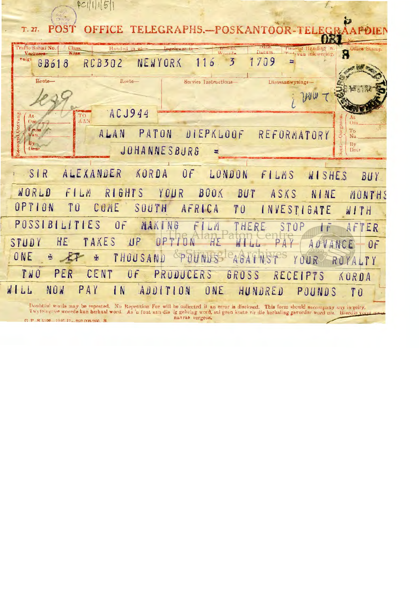